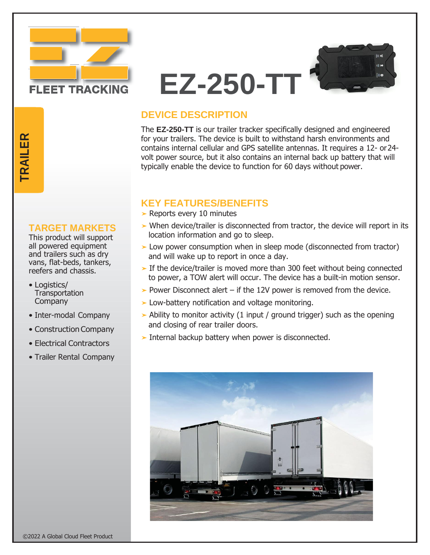

## **EZ-250-TT**



## **DEVICE DESCRIPTION**

The **EZ-250-TT** is our trailer tracker specifically designed and engineered for your trailers. The device is built to withstand harsh environments and contains internal cellular and GPS satellite antennas. It requires a 12- or24 volt power source, but it also contains an internal back up battery that will typically enable the device to function for 60 days without power.

## **KEY FEATURES/BENEFITS**

- ➤ Reports every 10 minutes
- ➤ When device/trailer is disconnected from tractor, the device will report in its location information and go to sleep.
- ➤ Low power consumption when in sleep mode (disconnected from tractor) and will wake up to report in once a day.
- ➤ If the device/trailer is moved more than 300 feet without being connected to power, a TOW alert will occur. The device has a built-in motion sensor.
- ► Power Disconnect alert if the 12V power is removed from the device.
- ➤ Low-battery notification and voltage monitoring.
- ➤ Ability to monitor activity (1 input / ground trigger) such as the opening and closing of rear trailer doors.
- ➤ Internal backup battery when power is disconnected.



## **TARGET MARKETS**

This product will support all powered equipment and trailers such as dry vans, flat-beds, tankers, reefers and chassis. TARGET MARKETS<br>
This product will support<br>
all powered equipment<br>
and trailers such as dry<br>
vans, flat-beds, tankers,<br>
reefers and chassis.<br>
• Logistics/<br>
Transportation<br>
Company<br>
• Inter-modal Company<br>
• Construction Comp

- Logistics/ **Transportation** Company
- Inter-modal Company
- Construction Company
- Electrical Contractors
- Trailer Rental Company